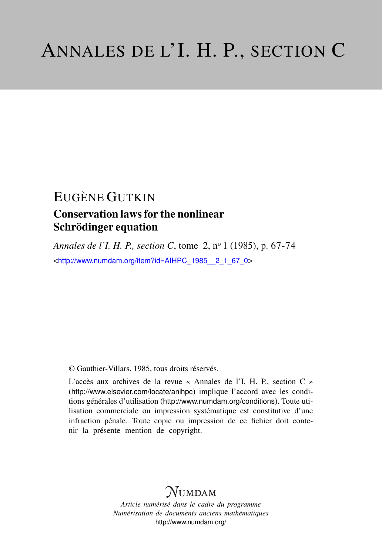## EUGÈNE GUTKIN Conservation laws for the nonlinear Schrödinger equation

*Annales de l'I. H. P., section C*, tome 2, n<sup>o</sup> 1 (1985), p. 67-74 <[http://www.numdam.org/item?id=AIHPC\\_1985\\_\\_2\\_1\\_67\\_0](http://www.numdam.org/item?id=AIHPC_1985__2_1_67_0)>

© Gauthier-Villars, 1985, tous droits réservés.

L'accès aux archives de la revue « Annales de l'I. H. P., section C » (<http://www.elsevier.com/locate/anihpc>) implique l'accord avec les conditions générales d'utilisation (<http://www.numdam.org/conditions>). Toute utilisation commerciale ou impression systématique est constitutive d'une infraction pénale. Toute copie ou impression de ce fichier doit contenir la présente mention de copyright.

# $N$ UMDAM

*Article numérisé dans le cadre du programme Numérisation de documents anciens mathématiques* <http://www.numdam.org/>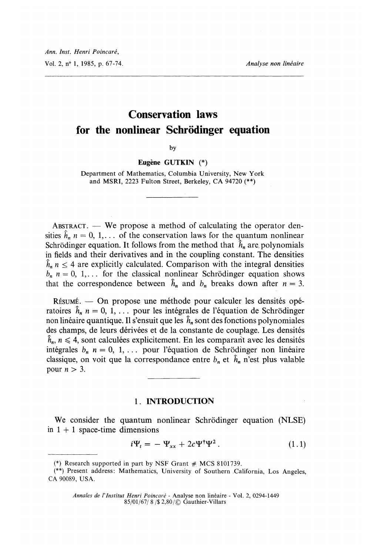## Conservation laws for the nonlinear Schrödinger equation

by

Eugène GUTKIN (\*)

Department of Mathematics, Columbia University, New York and MSRI, 2223 Fulton Street, Berkeley, CA 94720 (\*\*)

 $ABSTRACT.$  We propose a method of calculating the operator densities  $\hat{h}_n$   $n = 0, 1, \ldots$  of the conservation laws for the quantum nonlinear Schrödinger equation. It follows from the method that  $\hat{h}_n$  are, polynomials in fields and their derivatives and in the coupling constant. The densities  $\hat{h}_n$   $n \leq 4$  are explicitly calculated. Comparison with the integral densities  $b_n$  n = 0, 1,... for the classical nonlinear Schrödinger equation shows that the correspondence between  $\hat{h}_n$  and  $b_n$  breaks down after  $n = 3$ .

 $R$ *issumé.*  $-$  On propose une méthode pour calculer les densités opératoires  $\hat{h}_n$  n = 0, 1, ... pour les intégrales de l'équation de Schrödinger non linéaire quantique. Il s'ensuit que les  $\hat{h}_n$  sont des fonctions polynomiales des champs, de leurs dérivées et de la constante de couplage. Les densités  $\hat{h}_n$ ,  $n \leq 4$ , sont calculées explicitement. En les comparant avec les densités intégrales  $b_n$   $n = 0, 1, \ldots$  pour l'équation de Schrödinger non linéaire classique, on voit que la correspondance entre  $b_n$  et  $\hat{h}_n$  n'est plus valable pour  $n > 3$ .

#### 1. INTRODUCTION .

We consider the quantum nonlinear Schrödinger equation (NLSE) in  $1 + 1$  space-time dimensions

$$
i\Psi_t = -\Psi_{xx} + 2c\Psi^\dagger\Psi^2. \tag{1.1}
$$

<sup>(\*)</sup> Research supported in part by NSF Grant  $#$  MCS 8101739.

<sup>(\*\*)</sup> Present address: Mathematics, University of Southern California, Los Angeles, CA 90089, USA.

Annales de l'lnstitut Henri Poincaré - Analyse non linéaire - Vol. 2, 0294-1449 85/01/67/ 8 / \$2,80 /  $\odot$  Gauthier-Villars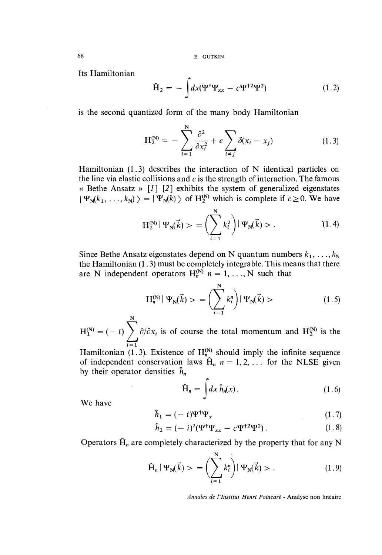68 E. GUTKIN

Its Hamiltonian

$$
\hat{H}_2 = -\int dx (\Psi^{\dagger} \Psi_{xx} - c \Psi^{\dagger 2} \Psi^2)
$$
 (1.2)

is the second quantized form of the many body Hamiltonian

$$
H_2^{(N)} = -\sum_{i=1}^{N} \frac{\partial^2}{\partial x_i^2} + c \sum_{i \neq j} \delta(x_i - x_j)
$$
 (1.3)

Hamiltonian (1.3) describes the interaction of N identical particles on the line via elastic collisions and  $c$  is the strength of interaction. The famous « Bethe Ansatz »  $\begin{bmatrix} 1 \\ 2 \end{bmatrix}$  exhibits the system of generalized eigenstates  $|\Psi_{\rm N}(k_1,\ldots,k_{\rm N})\rangle = |\Psi_{\rm N}(k)\rangle$  of H<sup>(N)</sup> which is complete if  $c\geq 0$ . We have

$$
H_2^{(N)} | \Psi_N(\vec{k}) \rangle = \left( \sum_{i=1}^N k_i^2 \right) | \Psi_N(\vec{k}) \rangle . \tag{1.4}
$$

Since Bethe Ansatz eigenstates depend on N quantum numbers  $k_1, \ldots, k_N$ the Hamiltonian (1.3) must be completely integrable. This means that there are N independent operators  $H_n^{(N)}$   $n = 1, ..., N$  such that

$$
H_n^{(N)} | \Psi_N(\vec{k}) > = \left( \sum_{i=1}^N k_i^n \right) | \Psi_N(\vec{k}) >
$$
 (1.5)

N  $=(-i)\sum_{i} \partial/\partial x_i$  is of course the total momentum and  $H_2^{(N)}$  is the

Hamiltonian (1.3). Existence of  $H_{n_\lambda}^{(N)}$  should imply the infinite sequence of independent conservation laws  $\hat{H}_n$   $n = 1, 2, \ldots$  for the NLSE given by their operator densities  $\hat{h}_n$ 

$$
\hat{H}_n = \int dx \,\hat{h}_n(x). \tag{1.6}
$$

We have

$$
\hat{h}_1 = (-i)\Psi^{\dagger}\Psi_x \tag{1.7}
$$

$$
\hat{h}_2 = (-i)^2 (\Psi^{\dagger} \Psi_{xx} - c \Psi^{\dagger 2} \Psi^2). \tag{1.8}
$$

Operators  $\hat{H}_n$  are completely characterized by the property that for any N

$$
\hat{H}_n | \Psi_N(\vec{k}) > = \left( \sum_{i=1}^N k_i^n \right) | \Psi_N(\vec{k}) > . \tag{1.9}
$$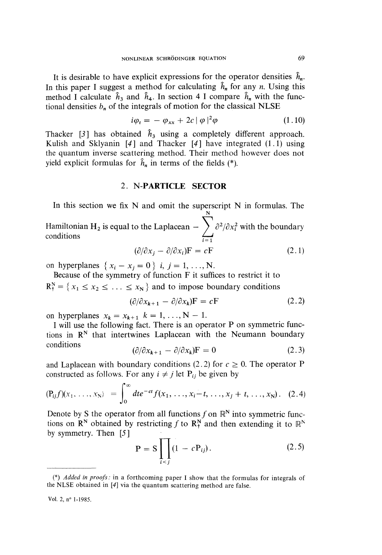It is desirable to have explicit expressions for the operator densities  $\hat{h}_n$ . In this paper I suggest a method for calculating  $\hat{h}_n$  for any n. Using this method I calculate  $\hat{h}_3$  and  $\hat{h}_4$ . In section 4 I compare  $\hat{h}_n$  with the functional densities  $b_n$  of the integrals of motion for the classical NLSE

$$
i\varphi_t = -\varphi_{xx} + 2c |\varphi|^2 \varphi \qquad (1.10)
$$

Thacker [3] has obtained  $\hat{h}_3$  using a completely different approach. Kulish and Sklyanin  $[4]$  and Thacker  $[4]$  have integrated  $(1.1)$  using the quantum inverse scattering method. Their method however does not yield explicit formulas for  $\hat{h}_n$  in terms of the fields (\*).

### 2. N-PARTICLE SECTOR

In this section we fix  $N$  and omit the superscript  $N$  in formulas. The Hamiltonian H<sub>2</sub> is equal to the Laplacean  $\int_{t_1}^{t_2} \frac{\partial^2}{\partial x_i^2}$  with the boundary  $\sum_{i=1}^{\infty}$ 

$$
(\partial/\partial x_j - \partial/\partial x_i)\mathbf{F} = c\mathbf{F}
$$
 (2.1)

on hyperplanes  $\{x_i - x_j = 0\}$  *i*,  $j = 1, ..., N$ .

Because of the symmetry of function F it suffices to restrict it to  $R_t^N = \{x_1 \le x_2 \le \ldots \le x_N\}$  and to impose boundary conditions

$$
(\partial/\partial x_{k+1} - \partial/\partial x_k)\mathbf{F} = c\mathbf{F} \tag{2.2}
$$

on hyperplanes  $x_k = x_{k+1}$   $k = 1, ..., N - 1$ .

I will use the following fact. There is an operator P on symmetric functions in  $\mathbb{R}^N$  that intertwines Laplacean with the Neumann boundary conditions

$$
(\partial/\partial x_{k+1} - \partial/\partial x_k)\mathbf{F} = 0 \tag{2.3}
$$

and Laplacean with boundary conditions (2.2) for  $c \ge 0$ . The operator P constructed as follows. For any  $i \neq j$  let P<sub>ij</sub> be given by

$$
(\mathbf{P}_{ij}f)(x_1,\ldots,x_N) = \int_0^\infty dt e^{-ct} f(x_1,\ldots,x_i-t,\ldots,x_j+t,\ldots,x_N). \quad (2.4)
$$

Denote by S the operator from all functions f on  $\mathbb{R}^N$  into symmetric functions on  $\mathbb{R}^N$  obtained by restricting f to  $\mathbb{R}^N_+$  and then extending it to  $\mathbb{R}^N$ by symmetry. Then [5]

$$
P = S \prod_{i < j} (1 - c P_{ij}). \tag{2.5}
$$

Vol. 2, n° 1-1985.

<sup>(\*)</sup> Added in proofs : in a forthcoming paper I show that the formulas for integrals of the NLSE obtained in [4) via the quantum scattering method are false.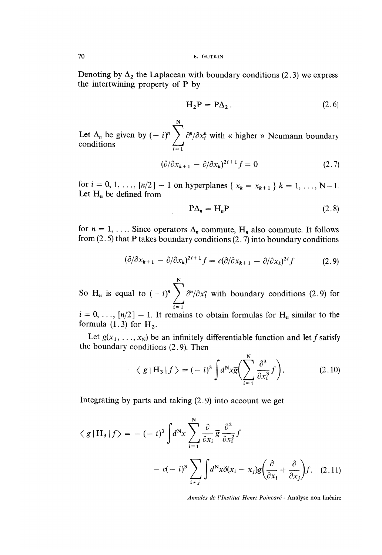Denoting by  $\Delta_2$  the Laplacean with boundary conditions (2.3) we express the intertwining property of P by

$$
H_2P = P\Delta_2. \t\t(2.6)
$$

N Let  $\Delta_n$  be given by  $(-i)^n \sum_{i=1}^n \frac{\partial^n}{\partial x_i^n}$  with « higher » Neumann boundary conditions

$$
(\partial/\partial x_{k+1} - \partial/\partial x_k)^{2i+1} f = 0 \qquad (2.7)
$$

for  $i = 0, 1, ..., [n/2] - 1$  on hyperplanes  $\{x_k = x_{k+1}\}\; k = 1, ..., N-1$ . Let  $H_n$  be defined from

$$
P\Delta_n = H_n P \tag{2.8}
$$

for  $n = 1, \ldots$  Since operators  $\Delta_n$  commute,  $H_n$  also commute. It follows from  $(2.5)$  that P takes boundary conditions  $(2.7)$  into boundary conditions

$$
(\partial/\partial x_{k+1} - \partial/\partial x_k)^{2i+1} f = c(\partial/\partial x_{k+1} - \partial/\partial x_k)^{2i} f \tag{2.9}
$$

N So H<sub>n</sub> is equal to  $(-i)^n$   $\sum \partial^n/\partial x_i^n$  with boundary conditions (2.9) for  $i = 1$ 

 $i = 0, \ldots, [n/2] - 1$ . It remains to obtain formulas for H<sub>n</sub> similar to the formula  $(1.3)$  for  $H_2$ .

Let  $g(x_1, \ldots, x_N)$  be an infinitely differentiable function and let f satisfy the boundary conditions (2.9). Then

$$
\langle g | H_3 | f \rangle = (-i)^3 \int d^N x \overline{g} \bigg( \sum_{i=1}^N \frac{\partial^3}{\partial x_i^3} f \bigg). \tag{2.10}
$$

Integrating by parts and taking (2.9) into account we get

$$
\langle g | H_3 | f \rangle = -(-i)^3 \int d^N x \sum_{i=1}^N \frac{\partial}{\partial x_i} \overline{g} \frac{\partial^2}{\partial x_i^2} f
$$

$$
- c(-i)^3 \sum_{i \neq j} \int d^N x \delta(x_i - x_j) \overline{g} \left( \frac{\partial}{\partial x_i} + \frac{\partial}{\partial x_j} \right) f. \quad (2.11)
$$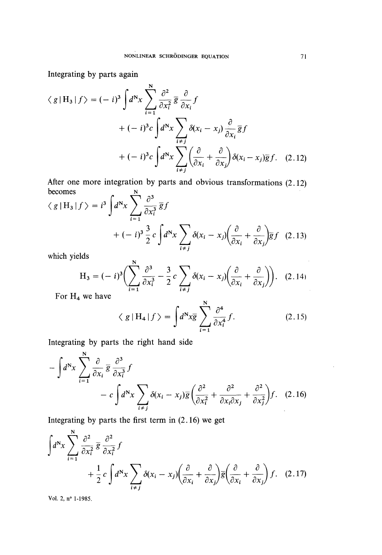Integrating by parts again

$$
\langle g | H_3 | f \rangle = (-i)^3 \int d^N x \sum_{i=1}^N \frac{\partial^2}{\partial x_i^2} \overline{g} \frac{\partial}{\partial x_i} f
$$
  
+  $(-i)^3 c \int d^N x \sum_{i \neq j} \delta(x_i - x_j) \frac{\partial}{\partial x_i} \overline{g} f$   
+  $(-i)^3 c \int d^N x \sum_{i \neq j} \left(\frac{\partial}{\partial x_i} + \frac{\partial}{\partial x_j}\right) \delta(x_i - x_j) \overline{g} f.$  (2.12)

After one more integration by parts and obvious transformations (2.12) becomes becomes

$$
\langle g | H_3 | f \rangle = i^3 \int d^N x \sum_{i=1}^{\infty} \frac{\partial^3}{\partial x_i^3} \overline{g} f
$$
  
+  $(-i)^3 \frac{3}{2} c \int d^N x \sum_{i \neq j} \delta(x_i - x_j) \left( \frac{\partial}{\partial x_i} + \frac{\partial}{\partial x_j} \right) \overline{g} f$  (2.13)

which yields

$$
H_3 = (-i)^3 \Biggl( \sum_{i=1}^N \frac{\partial^3}{\partial x_i^3} - \frac{3}{2} c \sum_{i \neq j} \delta(x_i - x_j) \Biggl( \frac{\partial}{\partial x_i} + \frac{\partial}{\partial x_j} \Biggr) \Biggr). \quad (2.14)
$$

For  $H_4$  we have

$$
\langle g | H_4 | f \rangle = \int d^N x \overline{g} \sum_{i=1}^N \frac{\partial^4}{\partial x_i^4} f. \tag{2.15}
$$

Integrating by parts the right hand side

$$
-\int d^N x \sum_{i=1}^N \frac{\partial}{\partial x_i} \overline{g} \frac{\partial^3}{\partial x_i^3} f
$$
  
- c  $\int d^N x \sum_{i \neq j} \delta(x_i - x_j) \overline{g} \left( \frac{\partial^2}{\partial x_i^2} + \frac{\partial^2}{\partial x_i \partial x_j} + \frac{\partial^2}{\partial x_j^2} \right) f.$  (2.16)

Integrating by parts the first term in  $(2.16)$  we get

$$
\int d^N x \sum_{i=1}^N \frac{\partial^2}{\partial x_i^2} \overline{g} \frac{\partial^2}{\partial x_i^2} f
$$
  
+  $\frac{1}{2} c \int d^N x \sum_{i \neq j} \delta(x_i - x_j) \left( \frac{\partial}{\partial x_i} + \frac{\partial}{\partial x_j} \right) \overline{g} \left( \frac{\partial}{\partial x_i} + \frac{\partial}{\partial x_j} \right) f.$  (2.17)

Vol. 2, n° 1-1985.

 $\bar{\tau}$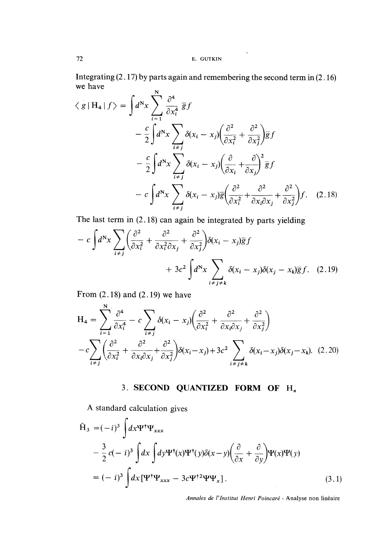Integrating (2.17) by parts again and remembering the second term in (2.16) we have

$$
\langle g | H_4 | f \rangle = \int d^N x \sum_{i=1}^N \frac{\partial^4}{\partial x_i^4} \overline{g} f
$$
  
\n
$$
- \frac{c}{2} \int d^N x \sum_{i \neq j} \delta(x_i - x_j) \left( \frac{\partial^2}{\partial x_i^2} + \frac{\partial^2}{\partial x_j^2} \right) \overline{g} f
$$
  
\n
$$
- \frac{c}{2} \int d^N x \sum_{i \neq j} \delta(x_i - x_j) \left( \frac{\partial}{\partial x_i} + \frac{\partial}{\partial x_j} \right)^2 \overline{g} f
$$
  
\n
$$
- c \int d^N x \sum_{i \neq j} \delta(x_i - x_j) \overline{g} \left( \frac{\partial^2}{\partial x_i^2} + \frac{\partial^2}{\partial x_i \partial x_j} + \frac{\partial^2}{\partial x_j^2} \right) f. \quad (2.18)
$$

The last term in (2.18) can again be integrated by parts yielding

$$
- c \int d^N x \sum_{i \neq j} \left( \frac{\partial^2}{\partial x_i^2} + \frac{\partial^2}{\partial x_i^2 \partial x_j} + \frac{\partial^2}{\partial x_j^2} \right) \delta(x_i - x_j) \overline{g} f
$$

$$
+ 3c^2 \int d^N x \sum_{i \neq j \neq k} \delta(x_i - x_j) \delta(x_j - x_k) \overline{g} f. \quad (2.19)
$$

From  $(2.18)$  and  $(2.19)$  we have

$$
H_4 = \sum_{i=1}^{N} \frac{\partial^4}{\partial x_i^4} - c \sum_{i \neq j} \delta(x_i - x_j) \left( \frac{\partial^2}{\partial x_i^2} + \frac{\partial^2}{\partial x_i \partial x_j} + \frac{\partial^2}{\partial x_j^2} \right)
$$

$$
- c \sum_{i \neq j} \left( \frac{\partial^2}{\partial x_i^2} + \frac{\partial^2}{\partial x_i \partial x_j} + \frac{\partial^2}{\partial x_j^2} \right) \delta(x_i - x_j) + 3c^2 \sum_{i \neq j \neq k} \delta(x_i - x_j) \delta(x_j - x_k). \quad (2.20)
$$

3. SECOND QUANTIZED FORM OF H,

A standard calculation gives

$$
\hat{H}_3 = (-i)^3 \int dx \Psi^{\dagger} \Psi_{xxx} \n- \frac{3}{2} c(-i)^3 \int dx \int dy \Psi^{\dagger} (x) \Psi^{\dagger} (y) \delta(x - y) \left( \frac{\partial}{\partial x} + \frac{\partial}{\partial y} \right) \Psi(x) \Psi(y) \n= (-i)^3 \int dx [\Psi^{\dagger} \Psi_{xxx} - 3c \Psi^{\dagger 2} \Psi \Psi_x].
$$
\n(3.1)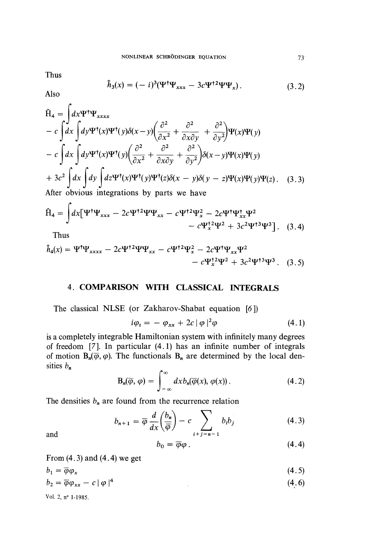Thus

$$
\hat{h}_3(x) = (-i)^3 (\Psi^{\dagger} \Psi_{xxx} - 3c \Psi^{\dagger 2} \Psi \Psi_x).
$$
 (3.2)

Also

$$
\hat{H}_4 = \int dx \Psi^{\dagger} \Psi_{xxxx} \n- c \int dx \int dy \Psi^{\dagger}(x) \Psi^{\dagger}(y) \delta(x-y) \left( \frac{\partial^2}{\partial x^2} + \frac{\partial^2}{\partial x \partial y} + \frac{\partial^2}{\partial y^2} \right) \Psi(x) \Psi(y) \n- c \int dx \int dy \Psi^{\dagger}(x) \Psi^{\dagger}(y) \left( \frac{\partial^2}{\partial x^2} + \frac{\partial^2}{\partial x \partial y} + \frac{\partial^2}{\partial y^2} \right) \delta(x-y) \Psi(x) \Psi(y) \n+ 3c^2 \int dx \int dy \int dz \Psi^{\dagger}(x) \Psi^{\dagger}(y) \Psi^{\dagger}(z) \delta(x-y) \delta(y-z) \Psi(x) \Psi(y) \Psi(z) .
$$
\n(3.3) After obvious integrations by parts we have

$$
\hat{H}_4 = \int dx \left[ \Psi^{\dagger} \Psi_{xxx} - 2c \Psi^{\dagger 2} \Psi \Psi_{xx} - c \Psi^{\dagger 2} \Psi_x^2 - 2c \Psi^{\dagger} \Psi_{xx}^{\dagger} \Psi^2 - c \Psi_x^{\dagger 2} \Psi^2 + 3c^2 \Psi^{\dagger 3} \Psi^3 \right].
$$
 (3.4)

Thus

$$
\hat{h}_4(x) = \Psi^{\dagger} \Psi_{xxxx} - 2c \Psi^{\dagger 2} \Psi \Psi_{xx} - c \Psi^{\dagger 2} \Psi_x^2 - 2c \Psi^{\dagger} \Psi_{xx} \Psi^2 - c \Psi_x^{\dagger 2} \Psi^2 + 3c^2 \Psi^{\dagger 3} \Psi^3.
$$
 (3.5)

### 4. COMPARISON WITH CLASSICAL INTEGRALS

The classical NLSE (or Zakharov-Shabat equation [6 ])

$$
i\varphi_t = -\varphi_{xx} + 2c |\varphi|^2 \varphi \qquad (4.1)
$$

is a completely integrable Hamiltonian system with infinitely many degrees of freedom [7]. In particular (4 .1) has an infinite number of integrals of motion  $B_n(\vec{\varphi}, \varphi)$ . The functionals  $B_n$  are determined by the local densities  $b_n$ 

$$
\mathbf{B}_n(\overline{\varphi}, \varphi) = \int_{-\infty}^{\infty} dx b_n(\overline{\varphi}(x), \varphi(x)). \tag{4.2}
$$

The densities  $b_n$  are found from the recurrence relation

$$
b_{n+1} = \overline{\varphi} \frac{d}{dx} \left( \frac{b_n}{\overline{\varphi}} \right) - c \sum_{i+j=n-1} b_i b_j \tag{4.3}
$$

and

$$
b_0 = \overline{\varphi}\varphi \,.
$$

From  $(4.3)$  and  $(4.4)$  we get

$$
b_1 = \overline{\varphi} \varphi_x \tag{4.5}
$$

$$
b_2 = \overline{\varphi} \varphi_{xx} - c \mid \varphi \mid^4 \tag{4.6}
$$

Vol. 2, nº 1-1985.